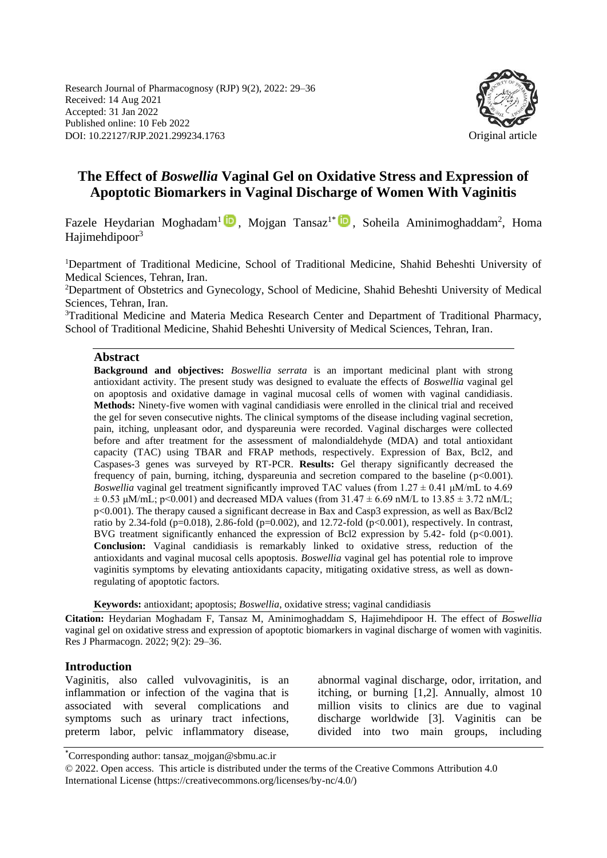Research Journal of Pharmacognosy (RJP) 9(2), 2022: 29–36 Received: 14 Aug 2021 Accepted: 31 Jan 2022 Published online: 10 Feb 2022 DOI: 10.22127/RJP.2021.299234.1763 Original article



# **The Effect of** *Boswellia* **Vaginal Gel on Oxidative Stress and Expression of Apoptotic Biomarkers in Vaginal Discharge of Women With Vaginitis**

Fazele Heydarian Moghadam<sup>1</sup> D, Mojgan Tansaz<sup>1\*</sup> D, Soheila Aminimoghaddam<sup>2</sup>, Homa Hajimehdipoor $3$ 

<sup>1</sup>Department of Traditional Medicine, School of Traditional Medicine, Shahid Beheshti University of Medical Sciences, Tehran, Iran.

<sup>2</sup>Department of Obstetrics and Gynecology, School of Medicine, Shahid Beheshti University of Medical Sciences, Tehran, Iran.

<sup>3</sup>Traditional Medicine and Materia Medica Research Center and Department of Traditional Pharmacy, School of Traditional Medicine, Shahid Beheshti University of Medical Sciences, Tehran, Iran.

#### **Abstract**

**Background and objectives:** *Boswellia serrata* is an important medicinal plant with strong antioxidant activity. The present study was designed to evaluate the effects of *Boswellia* vaginal gel on apoptosis and oxidative damage in vaginal mucosal cells of women with vaginal candidiasis*.* **Methods:** Ninety-five women with vaginal candidiasis were enrolled in the clinical trial and received the gel for seven consecutive nights. The clinical symptoms of the disease including vaginal secretion, pain, itching, unpleasant odor, and dyspareunia were recorded. Vaginal discharges were collected before and after treatment for the assessment of malondialdehyde (MDA) and total antioxidant capacity (TAC) using TBAR and FRAP methods, respectively. Expression of Bax, Bcl2, and Caspases-3 genes was surveyed by RT-PCR. **Results:** Gel therapy significantly decreased the frequency of pain, burning, itching, dyspareunia and secretion compared to the baseline (p<0.001). *Boswellia* vaginal gel treatment significantly improved TAC values (from  $1.27 \pm 0.41$   $\mu$ M/mL to 4.69  $\pm$  0.53  $\mu$ M/mL; p<0.001) and decreased MDA values (from 31.47  $\pm$  6.69 nM/L to 13.85  $\pm$  3.72 nM/L; p<0.001). The therapy caused a significant decrease in Bax and Casp3 expression, as well as Bax/Bcl2 ratio by 2.34-fold ( $p=0.018$ ), 2.86-fold ( $p=0.002$ ), and 12.72-fold ( $p<0.001$ ), respectively. In contrast, BVG treatment significantly enhanced the expression of Bcl2 expression by 5.42- fold (p<0.001). **Conclusion:** Vaginal candidiasis is remarkably linked to oxidative stress, reduction of the antioxidants and vaginal mucosal cells apoptosis. *Boswellia* vaginal gel has potential role to improve vaginitis symptoms by elevating antioxidants capacity, mitigating oxidative stress, as well as downregulating of apoptotic factors.

**Keywords:** antioxidant; apoptosis; *Boswellia*, oxidative stress; vaginal candidiasis

**Citation:** Heydarian Moghadam F, Tansaz M, Aminimoghaddam S, Hajimehdipoor H. The effect of *Boswellia*  vaginal gel on oxidative stress and expression of apoptotic biomarkers in vaginal discharge of women with vaginitis. Res J Pharmacogn. 2022; 9(2): 29–36.

#### **Introduction**

Vaginitis, also called vulvovaginitis, is an inflammation or infection of the vagina that is associated with several complications and symptoms such as urinary tract infections, preterm labor, pelvic inflammatory disease, abnormal vaginal discharge, odor, irritation, and itching, or burning [1,2]. Annually, almost 10 million visits to clinics are due to vaginal discharge worldwide [3]. Vaginitis can be divided into two main groups, including

<sup>\*</sup>Corresponding author: tansaz\_mojgan@sbmu.ac.ir

<sup>© 2022.</sup> Open access. This article is distributed under the terms of the Creative Commons Attribution 4.0 International License (https://creativecommons.org/licenses/by-nc/4.0/)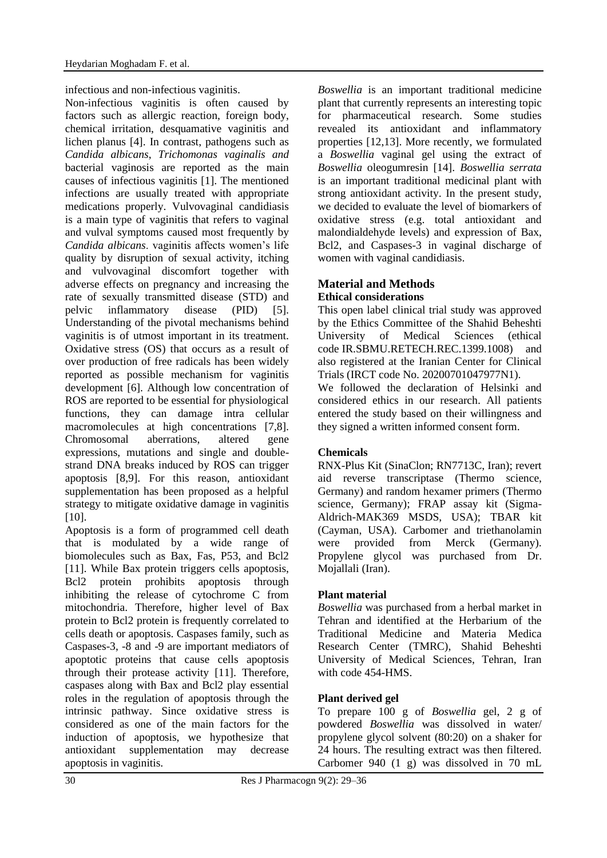infectious and non-infectious vaginitis.

Non-infectious vaginitis is often caused by factors such as allergic reaction, foreign body, chemical irritation, desquamative vaginitis and lichen planus [4]. In contrast, pathogens such as *Candida albicans*, *Trichomonas vaginalis and*  bacterial vaginosis are reported as the main causes of infectious vaginitis [1]. The mentioned infections are usually treated with appropriate medications properly. Vulvovaginal candidiasis is a main type of vaginitis that refers to vaginal and vulval symptoms caused most frequently by *Candida albicans*. vaginitis affects women's life quality by disruption of sexual activity, itching and vulvovaginal discomfort together with adverse effects on pregnancy and increasing the rate of sexually transmitted disease (STD) and pelvic inflammatory disease (PID) [5]. Understanding of the pivotal mechanisms behind vaginitis is of utmost important in its treatment. Oxidative stress (OS) that occurs as a result of over production of free radicals has been widely reported as possible mechanism for vaginitis development [6]. Although low concentration of ROS are reported to be essential for physiological functions, they can damage intra cellular macromolecules at high concentrations [7,8]. Chromosomal aberrations, altered gene expressions, mutations and single and doublestrand DNA breaks induced by ROS can trigger apoptosis [8,9]. For this reason, antioxidant supplementation has been proposed as a helpful strategy to mitigate oxidative damage in vaginitis [10].

Apoptosis is a form of programmed cell death that is modulated by a wide range of biomolecules such as Bax, Fas, P53, and Bcl2 [11]. While Bax protein triggers cells apoptosis, Bcl2 protein prohibits apoptosis through inhibiting the release of cytochrome C from mitochondria. Therefore, higher level of Bax protein to Bcl2 protein is frequently correlated to cells death or apoptosis. Caspases family, such as Caspases-3, -8 and -9 are important mediators of apoptotic proteins that cause cells apoptosis through their protease activity [11]. Therefore, caspases along with Bax and Bcl2 play essential roles in the regulation of apoptosis through the intrinsic pathway. Since oxidative stress is considered as one of the main factors for the induction of apoptosis, we hypothesize that antioxidant supplementation may decrease apoptosis in vaginitis.

*Boswellia* is an important traditional medicine plant that currently represents an interesting topic for pharmaceutical research. Some studies revealed its antioxidant and inflammatory properties [12,13]. More recently, we formulated a *Boswellia* vaginal gel using the extract of *Boswellia* oleogumresin [14]. *Boswellia serrata* is an important traditional medicinal plant with strong antioxidant activity. In the present study, we decided to evaluate the level of biomarkers of oxidative stress (e.g. total antioxidant and malondialdehyde levels) and expression of Bax, Bcl2, and Caspases-3 in vaginal discharge of women with vaginal candidiasis.

# **Material and Methods**

# **Ethical considerations**

This open label clinical trial study was approved by the Ethics Committee of the Shahid Beheshti University of Medical Sciences (ethical code [IR.SBMU.RETECH.REC.1399.1008\)](https://ethics.research.ac.ir/ProposalCertificateEn.php?id=178178&Print=true&NoPrintHeader=true&NoPrintFooter=true&NoPrintPageBorder=true&LetterPrint=true) and also registered at the Iranian Center for Clinical Trials (IRCT code No. 20200701047977N1).

We followed the declaration of Helsinki and considered ethics in our research. All patients entered the study based on their willingness and they signed a written informed consent form.

## **Chemicals**

RNX-Plus Kit (SinaClon; RN7713C, Iran); revert aid reverse transcriptase (Thermo science, Germany) and random hexamer primers (Thermo science, Germany); FRAP assay kit (Sigma-Aldrich-MAK369 MSDS, USA); TBAR kit (Cayman, USA). Carbomer and triethanolamin were provided from Merck (Germany). Propylene glycol was purchased from Dr. Mojallali (Iran).

## **Plant material**

*Boswellia* was purchased from a herbal market in Tehran and identified at the Herbarium of the Traditional Medicine and Materia Medica Research Center (TMRC), Shahid Beheshti University of Medical Sciences, Tehran, Iran with code 454-HMS.

## **Plant derived gel**

To prepare 100 g of *Boswellia* gel, 2 g of powdered *Boswellia* was dissolved in water/ propylene glycol solvent (80:20) on a shaker for 24 hours. The resulting extract was then filtered. Carbomer 940 (1 g) was dissolved in 70 mL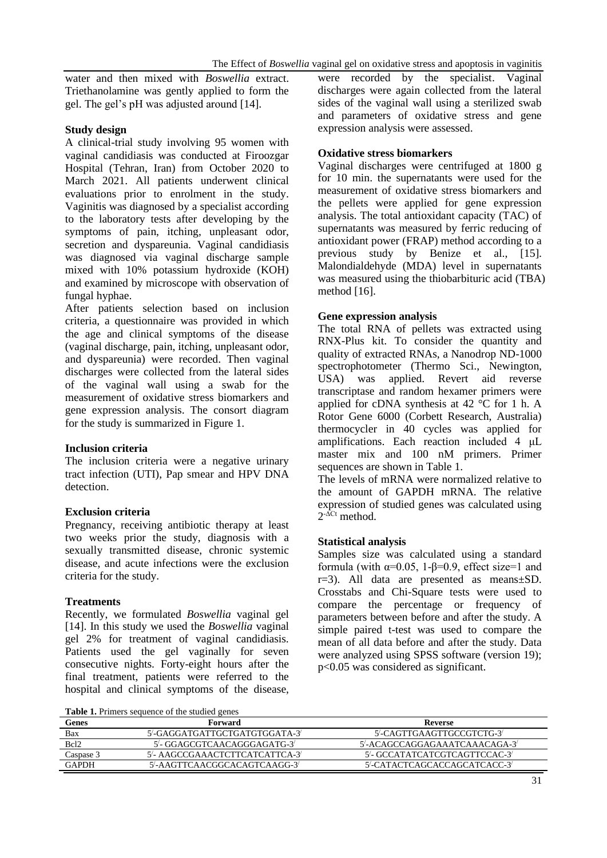water and then mixed with *Boswellia* extract. Triethanolamine was gently applied to form the gel. The gel's pH was adjusted around [14].

#### **Study design**

A clinical-trial study involving 95 women with vaginal candidiasis was conducted at Firoozgar Hospital (Tehran, Iran) from October 2020 to March 2021. All patients underwent clinical evaluations prior to enrolment in the study. Vaginitis was diagnosed by a specialist according to the laboratory tests after developing by the symptoms of pain, itching, unpleasant odor, secretion and dyspareunia. Vaginal candidiasis was diagnosed via vaginal discharge sample mixed with 10% potassium hydroxide (KOH) and examined by microscope with observation of fungal hyphae.

After patients selection based on inclusion criteria, a questionnaire was provided in which the age and clinical symptoms of the disease (vaginal discharge, pain, itching, unpleasant odor, and dyspareunia) were recorded. Then vaginal discharges were collected from the lateral sides of the vaginal wall using a swab for the measurement of oxidative stress biomarkers and gene expression analysis. The consort diagram for the study is summarized in Figure 1.

## **Inclusion criteria**

The inclusion criteria were a negative urinary tract infection (UTI), Pap smear and HPV DNA detection.

## **Exclusion criteria**

Pregnancy, receiving antibiotic therapy at least two weeks prior the study, diagnosis with a sexually transmitted disease, chronic systemic disease, and acute infections were the exclusion criteria for the study.

## **Treatments**

Recently, we formulated *Boswellia* vaginal gel [14]. In this study we used the *Boswellia* vaginal gel 2% for treatment of vaginal candidiasis. Patients used the gel vaginally for seven consecutive nights. Forty-eight hours after the final treatment, patients were referred to the hospital and clinical symptoms of the disease,

were recorded by the specialist. Vaginal discharges were again collected from the lateral sides of the vaginal wall using a sterilized swab and parameters of oxidative stress and gene expression analysis were assessed.

#### **Oxidative stress biomarkers**

Vaginal discharges were centrifuged at 1800 g for 10 min. the supernatants were used for the measurement of oxidative stress biomarkers and the pellets were applied for gene expression analysis. The total antioxidant capacity (TAC) of supernatants was measured by ferric reducing of antioxidant power (FRAP) method according to a previous study by Benize et al., [15]. Malondialdehyde (MDA) level in supernatants was measured using the thiobarbituric acid (TBA) method [16].

#### **Gene expression analysis**

The total RNA of pellets was extracted using RNX-Plus kit. To consider the quantity and quality of extracted RNAs, a Nanodrop ND-1000 spectrophotometer (Thermo Sci., Newington, USA) was applied. Revert aid reverse transcriptase and random hexamer primers were applied for cDNA synthesis at 42 °C for 1 h. A Rotor Gene 6000 (Corbett Research, Australia) thermocycler in 40 cycles was applied for amplifications. Each reaction included 4 μL master mix and 100 nM primers. Primer sequences are shown in Table 1.

The levels of mRNA were normalized relative to the amount of GAPDH mRNA. The relative expression of studied genes was calculated using  $2^{-\Delta Ct}$  method.

## **Statistical analysis**

Samples size was calculated using a standard formula (with α=0.05, 1-β=0.9, effect size=1 and r=3). All data are presented as means±SD. Crosstabs and Chi-Square tests were used to compare the percentage or frequency of parameters between before and after the study. A simple paired t-test was used to compare the mean of all data before and after the study. Data were analyzed using SPSS software (version 19); p<0.05 was considered as significant.

Table 1. Primers sequence of the studied genes

| Genes            | Forward                        | Reverse                       |
|------------------|--------------------------------|-------------------------------|
| Bax              | 5'-GAGGATGATTGCTGATGTGGATA-3   | 5'-CAGTTGAAGTTGCCGTCTG-3'     |
| Bcl <sub>2</sub> | 5'- GGAGCGTCAACAGGGAGATG-3'    | 5'-ACAGCCAGGAGAAATCAAACAGA-3' |
| Caspase 3        | 5'- AAGCCGAAACTCTTCATCATTCA-3' | 5'- GCCATATCATCGTCAGTTCCAC-3' |
| <b>GAPDH</b>     | 5'-AAGTTCAACGGCACAGTCAAGG-3'   | 5'-CATACTCAGCACCAGCATCACC-3'  |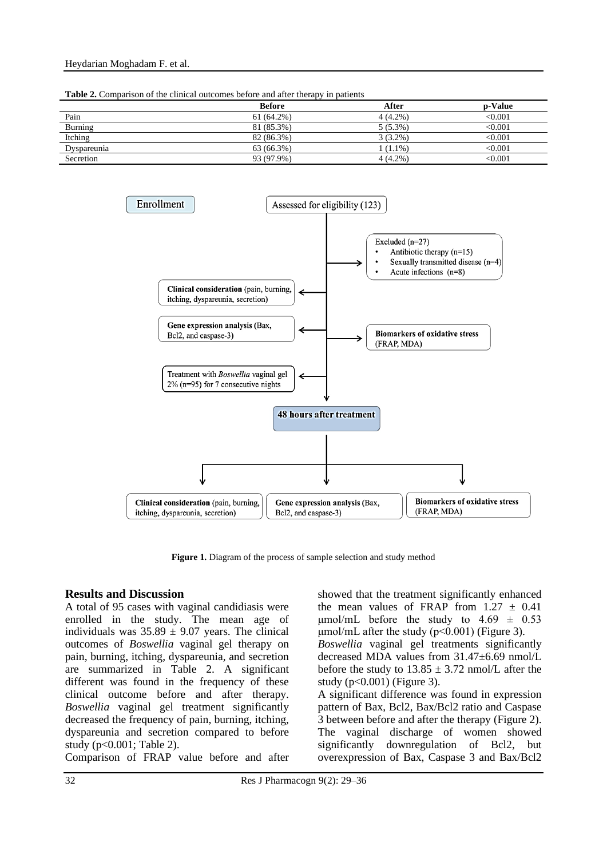**Table 2.** Comparison of the clinical outcomes before and after therapy in patients

|                | <b>Before</b> | After      | <b>p-Value</b>             |
|----------------|---------------|------------|----------------------------|
| Pain           | 61 (64.2%)    | $4(4.2\%)$ | $<$ 0.001 $\,$             |
| <b>Burning</b> | 81 (85.3%)    | $5(5.3\%)$ | $<$ 0.001 $\,$             |
| Itching        | 82 (86.3%)    | $3(3.2\%)$ | < 0.001                    |
| Dyspareunia    | 63 (66.3%)    | $(1.1\%)$  | $<$ 0.001 $\,$             |
| Secretion      | 93 (97.9%)    | $4(4.2\%)$ | $< \hspace{-0.005in}0.001$ |



**Figure 1.** Diagram of the process of sample selection and study method

#### **Results and Discussion**

A total of 95 cases with vaginal candidiasis were enrolled in the study. The mean age of individuals was  $35.89 \pm 9.07$  years. The clinical outcomes of *Boswellia* vaginal gel therapy on pain, burning, itching, dyspareunia, and secretion are summarized in Table 2. A significant different was found in the frequency of these clinical outcome before and after therapy. *Boswellia* vaginal gel treatment significantly decreased the frequency of pain, burning, itching, dyspareunia and secretion compared to before study (p<0.001; Table 2).

Comparison of FRAP value before and after

showed that the treatment significantly enhanced the mean values of FRAP from  $1.27 \pm 0.41$  $\mu$ mol/mL before the study to 4.69  $\pm$  0.53  $\mu$ mol/mL after the study (p<0.001) (Figure 3). *Boswellia* vaginal gel treatments significantly decreased MDA values from 31.47±6.69 nmol/L before the study to  $13.85 \pm 3.72$  nmol/L after the study ( $p<0.001$ ) (Figure 3). A significant difference was found in expression pattern of Bax, Bcl2, Bax/Bcl2 ratio and Caspase 3 between before and after the therapy (Figure 2). The vaginal discharge of women showed significantly downregulation of Bcl2, but

overexpression of Bax, Caspase 3 and Bax/Bcl2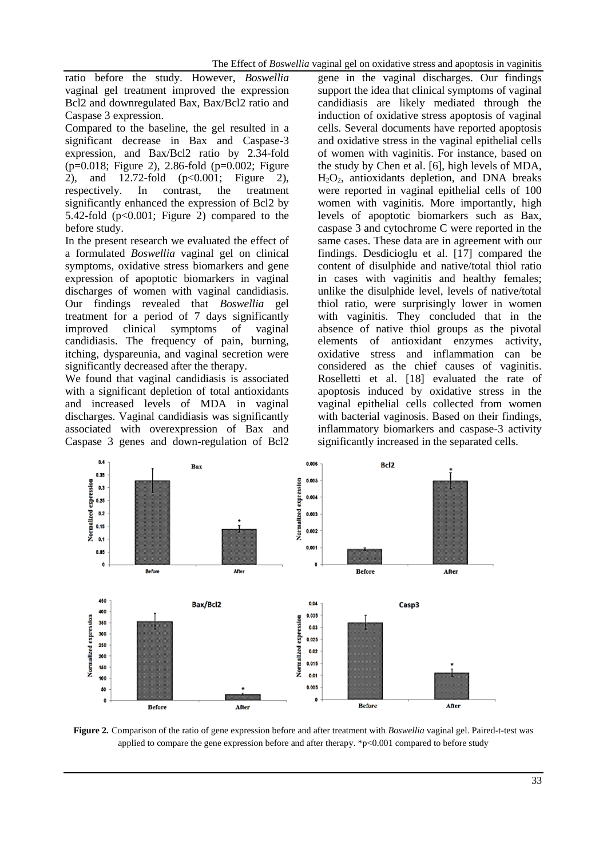ratio before the study. However, *Boswellia*  vaginal gel treatment improved the expression Bcl2 and downregulated Bax, Bax/Bcl2 ratio and Caspase 3 expression.

Compared to the baseline, the gel resulted in a significant decrease in Bax and Caspase-3 expression, and Bax/Bcl2 ratio by 2.34-fold (p=0.018; Figure 2), 2.86-fold (p=0.002; Figure 2), and 12.72-fold (p<0.001; Figure 2), respectively. In contrast, the treatment significantly enhanced the expression of Bcl2 by 5.42-fold  $(p<0.001$ ; Figure 2) compared to the before study.

In the present research we evaluated the effect of a formulated *Boswellia* vaginal gel on clinical symptoms, oxidative stress biomarkers and gene expression of apoptotic biomarkers in vaginal discharges of women with vaginal candidiasis. Our findings revealed that *Boswellia* gel treatment for a period of 7 days significantly improved clinical symptoms of vaginal candidiasis. The frequency of pain, burning, itching, dyspareunia, and vaginal secretion were significantly decreased after the therapy.

We found that vaginal candidiasis is associated with a significant depletion of total antioxidants and increased levels of MDA in vaginal discharges. Vaginal candidiasis was significantly associated with overexpression of Bax and Caspase 3 genes and down-regulation of Bcl2 gene in the vaginal discharges. Our findings support the idea that clinical symptoms of vaginal candidiasis are likely mediated through the induction of oxidative stress apoptosis of vaginal cells. Several documents have reported apoptosis and oxidative stress in the vaginal epithelial cells of women with vaginitis. For instance, based on the study by Chen et al. [6], high levels of MDA, H2O2, antioxidants depletion, and DNA breaks were reported in vaginal epithelial cells of 100 women with vaginitis. More importantly, high levels of apoptotic biomarkers such as Bax, caspase 3 and cytochrome C were reported in the same cases. These data are in agreement with our findings. Desdicioglu et al. [17] compared the content of disulphide and native/total thiol ratio in cases with vaginitis and healthy females; unlike the disulphide level, levels of native/total thiol ratio, were surprisingly lower in women with vaginitis. They concluded that in the absence of native thiol groups as the pivotal elements of antioxidant enzymes activity, oxidative stress and inflammation can be considered as the chief causes of vaginitis. Roselletti et al. [18] evaluated the rate of apoptosis induced by oxidative stress in the vaginal epithelial cells collected from women with bacterial vaginosis. Based on their findings, inflammatory biomarkers and caspase-3 activity significantly increased in the separated cells.



**Figure 2.** Comparison of the ratio of gene expression before and after treatment with *Boswellia* vaginal gel. Paired-t-test was applied to compare the gene expression before and after therapy.  $\degree$ p<0.001 compared to before study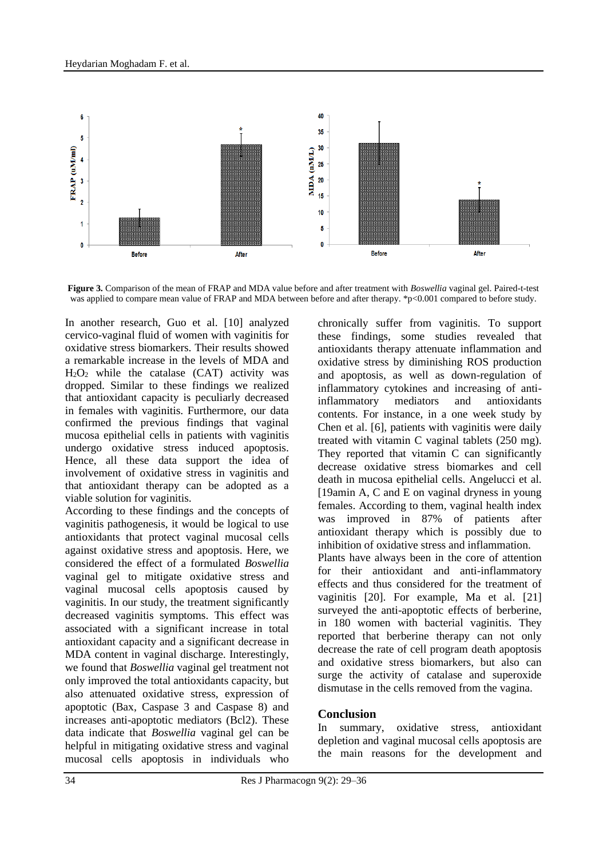

**Figure 3.** Comparison of the mean of FRAP and MDA value before and after treatment with *Boswellia* vaginal gel. Paired-t-test was applied to compare mean value of FRAP and MDA between before and after therapy. \*p<0.001 compared to before study.

In another research, Guo et al. [10] analyzed cervico-vaginal fluid of women with vaginitis for oxidative stress biomarkers. Their results showed a remarkable increase in the levels of MDA and  $H<sub>2</sub>O<sub>2</sub>$  while the catalase (CAT) activity was dropped. Similar to these findings we realized that antioxidant capacity is peculiarly decreased in females with vaginitis. Furthermore, our data confirmed the previous findings that vaginal mucosa epithelial cells in patients with vaginitis undergo oxidative stress induced apoptosis. Hence, all these data support the idea of involvement of oxidative stress in vaginitis and that antioxidant therapy can be adopted as a viable solution for vaginitis.

According to these findings and the concepts of vaginitis pathogenesis, it would be logical to use antioxidants that protect vaginal mucosal cells against oxidative stress and apoptosis. Here, we considered the effect of a formulated *Boswellia*  vaginal gel to mitigate oxidative stress and vaginal mucosal cells apoptosis caused by vaginitis. In our study, the treatment significantly decreased vaginitis symptoms. This effect was associated with a significant increase in total antioxidant capacity and a significant decrease in MDA content in vaginal discharge. Interestingly, we found that *Boswellia* vaginal gel treatment not only improved the total antioxidants capacity, but also attenuated oxidative stress, expression of apoptotic (Bax, Caspase 3 and Caspase 8) and increases anti-apoptotic mediators (Bcl2). These data indicate that *Boswellia* vaginal gel can be helpful in mitigating oxidative stress and vaginal mucosal cells apoptosis in individuals who chronically suffer from vaginitis. To support these findings, some studies revealed that antioxidants therapy attenuate inflammation and oxidative stress by diminishing ROS production and apoptosis, as well as down-regulation of inflammatory cytokines and increasing of antiinflammatory mediators and antioxidants contents. For instance, in a one week study by Chen et al. [6], patients with vaginitis were daily treated with vitamin C vaginal tablets (250 mg). They reported that vitamin C can significantly decrease oxidative stress biomarkes and cell death in mucosa epithelial cells. Angelucci et al. [19amin A, C and E on vaginal dryness in young females. According to them, vaginal health index was improved in 87% of patients after antioxidant therapy which is possibly due to inhibition of oxidative stress and inflammation. Plants have always been in the core of attention for their antioxidant and anti-inflammatory effects and thus considered for the treatment of vaginitis [20]. For example, Ma et al. [21] surveyed the anti-apoptotic effects of berberine, in 180 women with bacterial vaginitis. They reported that berberine therapy can not only decrease the rate of cell program death apoptosis and oxidative stress biomarkers, but also can surge the activity of catalase and superoxide dismutase in the cells removed from the vagina.

## **Conclusion**

In summary, oxidative stress, antioxidant depletion and vaginal mucosal cells apoptosis are the main reasons for the development and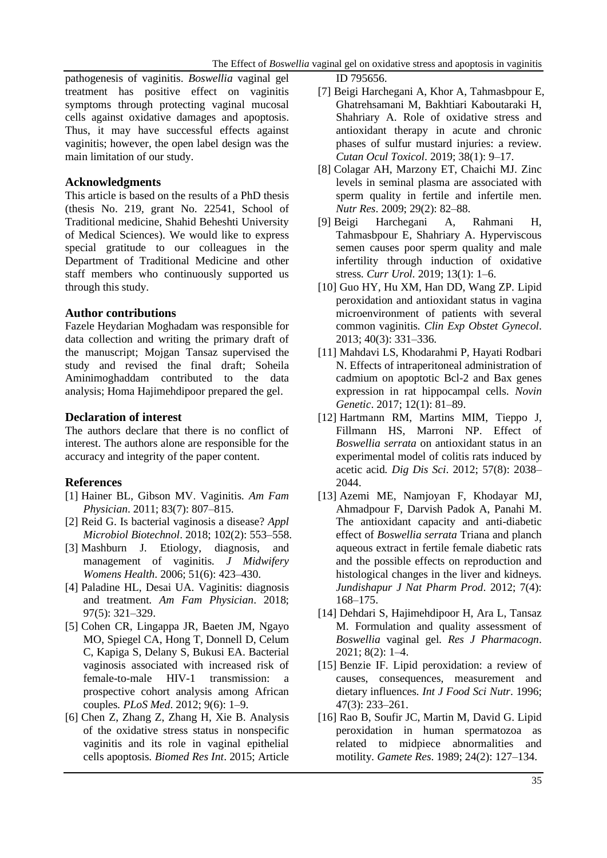pathogenesis of vaginitis. *Boswellia* vaginal gel treatment has positive effect on vaginitis symptoms through protecting vaginal mucosal cells against oxidative damages and apoptosis. Thus, it may have successful effects against vaginitis; however, the open label design was the main limitation of our study.

#### **Acknowledgments**

This article is based on the results of a PhD thesis (thesis No. 219, grant No. 22541, School of Traditional medicine, Shahid Beheshti University of Medical Sciences). We would like to express special gratitude to our colleagues in the Department of Traditional Medicine and other staff members who continuously supported us through this study.

## **Author contributions**

Fazele Heydarian Moghadam was responsible for data collection and writing the primary draft of the manuscript; Mojgan Tansaz supervised the study and revised the final draft; Soheila Aminimoghaddam contributed to the data analysis; Homa Hajimehdipoor prepared the gel.

#### **Declaration of interest**

The authors declare that there is no conflict of interest. The authors alone are responsible for the accuracy and integrity of the paper content.

## **References**

- [1] Hainer BL, Gibson MV. Vaginitis*. Am Fam Physician*. 2011; 83(7): 807–815.
- [2] Reid G. Is bacterial vaginosis a disease? *Appl Microbiol Biotechnol*. 2018; 102(2): 553–558.
- [3] Mashburn J. Etiology, diagnosis, and management of vaginitis*. J Midwifery Womens Health*. 2006; 51(6): 423–430.
- [4] Paladine HL, Desai UA. Vaginitis: diagnosis and treatment*. Am Fam Physician*. 2018; 97(5): 321–329.
- [5] Cohen CR, [Lingappa](https://www.ncbi.nlm.nih.gov/pubmed/?term=Lingappa%20JR%5BAuthor%5D&cauthor=true&cauthor_uid=22745608) JR, [Baeten](https://www.ncbi.nlm.nih.gov/pubmed/?term=Baeten%20JM%5BAuthor%5D&cauthor=true&cauthor_uid=22745608) JM, [Ngayo](https://www.ncbi.nlm.nih.gov/pubmed/?term=Ngayo%20MO%5BAuthor%5D&cauthor=true&cauthor_uid=22745608) MO, [Spiegel](https://www.ncbi.nlm.nih.gov/pubmed/?term=Spiegel%20CA%5BAuthor%5D&cauthor=true&cauthor_uid=22745608) CA, [Hong](https://www.ncbi.nlm.nih.gov/pubmed/?term=Hong%20T%5BAuthor%5D&cauthor=true&cauthor_uid=22745608) T, [Donnell](https://www.ncbi.nlm.nih.gov/pubmed/?term=Donnell%20D%5BAuthor%5D&cauthor=true&cauthor_uid=22745608) D, [Celum](https://www.ncbi.nlm.nih.gov/pubmed/?term=Celum%20C%5BAuthor%5D&cauthor=true&cauthor_uid=22745608) C, [Kapiga](https://www.ncbi.nlm.nih.gov/pubmed/?term=Kapiga%20S%5BAuthor%5D&cauthor=true&cauthor_uid=22745608) S, [Delany](https://www.ncbi.nlm.nih.gov/pubmed/?term=Delany%20S%5BAuthor%5D&cauthor=true&cauthor_uid=22745608) S, [Bukusi](https://www.ncbi.nlm.nih.gov/pubmed/?term=Bukusi%20EA%5BAuthor%5D&cauthor=true&cauthor_uid=22745608) EA. Bacterial vaginosis associated with increased risk of female-to-male HIV-1 transmission: a prospective cohort analysis among African couples*. PLoS Med*. 2012; 9(6): 1–9.
- [6] Chen Z, [Zhang](https://www.ncbi.nlm.nih.gov/pubmed/?term=Zhang%20Z%5BAuthor%5D&cauthor=true&cauthor_uid=26558281) Z, [Zhang](https://www.ncbi.nlm.nih.gov/pubmed/?term=Zhang%20H%5BAuthor%5D&cauthor=true&cauthor_uid=26558281) H, [Xie](https://www.ncbi.nlm.nih.gov/pubmed/?term=Xie%20B%5BAuthor%5D&cauthor=true&cauthor_uid=26558281) B. Analysis of the oxidative stress status in nonspecific vaginitis and its role in vaginal epithelial cells apoptosis*. Biomed Res Int*. 2015; Article

ID 795656.

- [7] Beigi Harchegani A, Khor A, Tahmasbpour E, Ghatrehsamani M, Bakhtiari Kaboutaraki H, Shahriary A. Role of oxidative stress and antioxidant therapy in acute and chronic phases of sulfur mustard injuries: a review*. Cutan Ocul Toxicol*. 2019; 38(1): 9–17.
- [8] Colagar AH, Marzony ET, Chaichi MJ. Zinc levels in seminal plasma are associated with sperm quality in fertile and infertile men*. Nutr Res*. 2009; 29(2): 82–88.
- [9] Beigi Harchegani A, Rahmani H, Tahmasbpour E, Shahriary A. Hyperviscous semen causes poor sperm quality and male infertility through induction of oxidative stress*. Curr Urol.* 2019; 13(1): 1–6.
- [10] Guo HY, Hu XM, Han DD, Wang ZP. Lipid peroxidation and antioxidant status in vagina microenvironment of patients with several common vaginitis*. Clin Exp Obstet Gynecol*. 2013; 40(3): 331–336.
- [11] Mahdavi LS, Khodarahmi P, Hayati Rodbari N. Effects of intraperitoneal administration of cadmium on apoptotic Bcl-2 and Bax genes expression in rat hippocampal cells*. Novin Genetic*. 2017; 12(1): 81–89.
- [12] Hartmann RM, [Martins](https://pubmed.ncbi.nlm.nih.gov/?term=Morgan+Martins+MI&cauthor_id=22451119) MIM, [Tieppo](https://pubmed.ncbi.nlm.nih.gov/?term=Tieppo+J&cauthor_id=22451119) J[,](https://pubmed.ncbi.nlm.nih.gov/?term=Fillmann+HS&cauthor_id=22451119) [Fillmann](https://pubmed.ncbi.nlm.nih.gov/?term=Fillmann+HS&cauthor_id=22451119) HS, [Marroni](https://pubmed.ncbi.nlm.nih.gov/?term=Marroni+NP&cauthor_id=22451119) NP. Effect of *Boswellia serrata* on antioxidant status in an experimental model of colitis rats induced by acetic acid*. Dig Dis Sci*. 2012; 57(8): 2038– 2044.
- [13] Azemi ME, [Namjoyan](https://pubmed.ncbi.nlm.nih.gov/?term=Namjoyan+F&cauthor_id=24624177) F, [Khodayar](https://pubmed.ncbi.nlm.nih.gov/?term=Khodayar+MJ&cauthor_id=24624177) MJ, [Ahmadpour](https://pubmed.ncbi.nlm.nih.gov/?term=Ahmadpour+F&cauthor_id=24624177) F, [Darvish Padok](https://pubmed.ncbi.nlm.nih.gov/?term=Darvish+Padok+A&cauthor_id=24624177) A, [Panahi](https://pubmed.ncbi.nlm.nih.gov/?term=Panahi+M&cauthor_id=24624177) M. The antioxidant capacity and anti-diabetic effect of *Boswellia serrata* Triana and planch aqueous extract in fertile female diabetic rats and the possible effects on reproduction and histological changes in the liver and kidneys*. Jundishapur J Nat Pharm Prod*. 2012; 7(4): 168–175.
- [14] Dehdari S, Hajimehdipoor H, Ara L, Tansaz M. Formulation and quality assessment of *Boswellia* vaginal gel*. Res J Pharmacogn*. 2021; 8(2): 1–4.
- [15] Benzie IF. Lipid peroxidation: a review of causes, consequences, measurement and dietary influences*. Int J Food Sci Nutr*. 1996; 47(3): 233–261.
- [16] Rao B, [Soufir](https://pubmed.ncbi.nlm.nih.gov/?term=Soufir+JC&cauthor_id=2793053) JC, [Martin](https://pubmed.ncbi.nlm.nih.gov/?term=Martin+M&cauthor_id=2793053) M, [David](https://pubmed.ncbi.nlm.nih.gov/?term=David+G&cauthor_id=2793053) G. Lipid peroxidation in human spermatozoa as related to midpiece abnormalities and motility*. Gamete Res*. 1989; 24(2): 127–134.